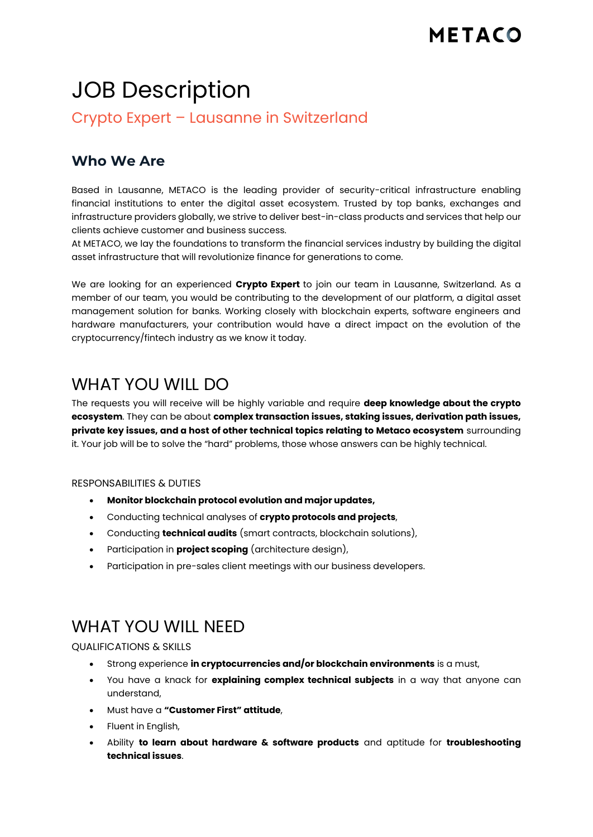# JOB Description

Crypto Expert – Lausanne in Switzerland

### **Who We Are**

Based in Lausanne, METACO is the leading provider of security-critical infrastructure enabling financial institutions to enter the digital asset ecosystem. Trusted by top banks, exchanges and infrastructure providers globally, we strive to deliver best-in-class products and services that help our clients achieve customer and business success.

At METACO, we lay the foundations to transform the financial services industry by building the digital asset infrastructure that will revolutionize finance for generations to come.

We are looking for an experienced **Crypto Expert** to join our team in Lausanne, Switzerland. As a member of our team, you would be contributing to the development of our platform, a digital asset management solution for banks. Working closely with blockchain experts, software engineers and hardware manufacturers, your contribution would have a direct impact on the evolution of the cryptocurrency/fintech industry as we know it today.

# WHAT YOU WILL DO

The requests you will receive will be highly variable and require **deep knowledge about the crypto ecosystem**. They can be about **complex transaction issues, staking issues, derivation path issues, private key issues, and a host of other technical topics relating to Metaco ecosystem** surrounding it. Your job will be to solve the "hard" problems, those whose answers can be highly technical.

#### RESPONSABILITIES & DUTIES

- **Monitor blockchain protocol evolution and major updates,**
- Conducting technical analyses of **crypto protocols and projects**,
- Conducting **technical audits** (smart contracts, blockchain solutions),
- Participation in **project scoping** (architecture design),
- Participation in pre-sales client meetings with our business developers.

## WHAT YOU WILL NEED

QUALIFICATIONS & SKILLS

- Strong experience **in cryptocurrencies and/or blockchain environments** is a must,
- You have a knack for **explaining complex technical subjects** in a way that anyone can understand,
- Must have a **"Customer First" attitude**,
- Fluent in English,
- Ability **to learn about hardware & software products** and aptitude for **troubleshooting technical issues**.